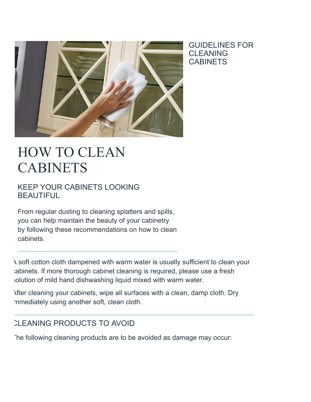

GUIDELINES FOR CLEANING **CABINETS** 

# HOW TO CLEAN CABINETS

#### KEEP YOUR CABINETS LOOKING BEAUTIFUL

From regular dusting to cleaning splatters and spills, you can help maintain the beauty of your cabinetry by following these recommendations on how to clean cabinets.

A soft cotton cloth dampened with warm water is usually sufficient to clean your abinets. If more thorough cabinet cleaning is required, please use a fresh solution of mild hand dishwashing liquid mixed with warm water.

After cleaning your cabinets, wipe all surfaces with a clean, damp cloth. Dry mmediately using another soft, clean cloth.

## CLEANING PRODUCTS TO AVOID

The following cleaning products are to be avoided as damage may occur: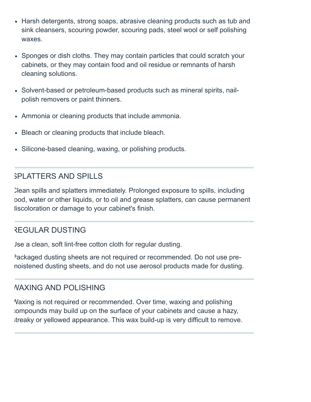- Harsh detergents, strong soaps, abrasive cleaning products such as tub and sink cleansers, scouring powder, scouring pads, steel wool or self polishing waxes.
- Sponges or dish cloths. They may contain particles that could scratch your cabinets, or they may contain food and oil residue or remnants of harsh cleaning solutions.
- Solvent-based or petroleum-based products such as mineral spirits, nailpolish removers or paint thinners.
- Ammonia or cleaning products that include ammonia.
- Bleach or cleaning products that include bleach.
- Silicone-based cleaning, waxing, or polishing products.

### SPLATTERS AND SPILLS

Clean spills and splatters immediately. Prolonged exposure to spills, including ood, water or other liquids, or to oil and grease splatters, can cause permanent liscoloration or damage to your cabinet's finish.

### REGULAR DUSTING

Use a clean, soft lint-free cotton cloth for regular dusting.

Packaged dusting sheets are not required or recommended. Do not use premoistened dusting sheets, and do not use aerosol products made for dusting.

### WAXING AND POLISHING

Waxing is not required or recommended. Over time, waxing and polishing compounds may build up on the surface of your cabinets and cause a hazy, streaky or yellowed appearance. This wax build-up is very difficult to remove.